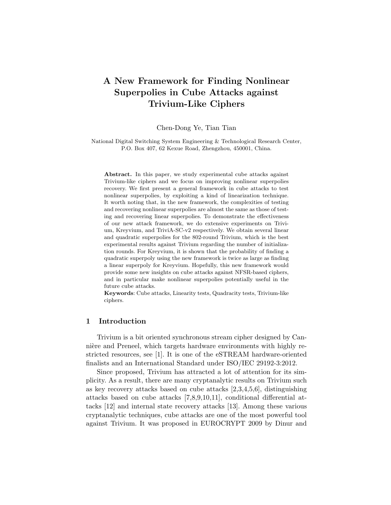# **A New Framework for Finding Nonlinear Superpolies in Cube Attacks against Trivium-Like Ciphers**

Chen-Dong Ye, Tian Tian

National Digital Switching System Engineering & Technological Research Center, P.O. Box 407, 62 Kexue Road, Zhengzhou, 450001, China.

**Abstract.** In this paper, we study experimental cube attacks against Trivium-like ciphers and we focus on improving nonlinear superpolies recovery. We first present a general framework in cube attacks to test nonlinear superpolies, by exploiting a kind of linearization technique. It worth noting that, in the new framework, the complexities of testing and recovering nonlinear superpolies are almost the same as those of testing and recovering linear superpolies. To demonstrate the effectiveness of our new attack framework, we do extensive experiments on Trivium, Kreyvium, and TriviA-SC-v2 respectively. We obtain several linear and quadratic superpolies for the 802-round Trivium, which is the best experimental results against Trivium regarding the number of initialization rounds. For Kreyvium, it is shown that the probability of finding a quadratic superpoly using the new framework is twice as large as finding a linear superpoly for Kreyvium. Hopefully, this new framework would provide some new insights on cube attacks against NFSR-based ciphers, and in particular make nonlinear superpolies potentially useful in the future cube attacks.

**Keywords**: Cube attacks, Linearity tests, Quadracity tests, Trivium-like ciphers.

## **1 Introduction**

Trivium is a bit oriented synchronous stream cipher designed by Cannière and Preneel, which targets hardware environments with highly restricted resources, see [1]. It is one of the eSTREAM hardware-oriented finalists and an International Standard under ISO/IEC 29192-3:2012.

Since proposed, Trivium has attracted a lot of attention for its simplicity. As a result, there are many cryptanalytic results on Trivium such as key recovery attacks based on cube attacks [2,3,4,5,6], distinguishing attacks based on cube attacks [7,8,9,10,11], conditional differential attacks [12] and internal state recovery attacks [13]. Among these various cryptanalytic techniques, cube attacks are one of the most powerful tool against Trivium. It was proposed in EUROCRYPT 2009 by Dinur and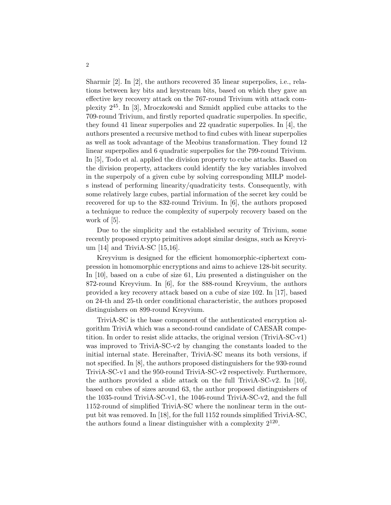Sharmir [2]. In [2], the authors recovered 35 linear superpolies, i.e., relations between key bits and keystream bits, based on which they gave an effective key recovery attack on the 767-round Trivium with attack complexity 245. In [3], Mroczkowski and Szmidt applied cube attacks to the 709-round Trivium, and firstly reported quadratic superpolies. In specific, they found 41 linear superpolies and 22 quadratic superpolies. In [4], the authors presented a recursive method to find cubes with linear superpolies as well as took advantage of the Meobius transformation. They found 12 linear superpolies and 6 quadratic superpolies for the 799-round Trivium. In [5], Todo et al. applied the division property to cube attacks. Based on the division property, attackers could identify the key variables involved in the superpoly of a given cube by solving corresponding MILP models instead of performing linearity/quadraticity tests. Consequently, with some relatively large cubes, partial information of the secret key could be recovered for up to the 832-round Trivium. In [6], the authors proposed a technique to reduce the complexity of superpoly recovery based on the work of [5].

Due to the simplicity and the established security of Trivium, some recently proposed crypto primitives adopt similar designs, such as Kreyvium [14] and TriviA-SC [15,16].

Kreyvium is designed for the efficient homomorphic-ciphertext compression in homomorphic encryptions and aims to achieve 128-bit security. In [10], based on a cube of size 61, Liu presented a distinguisher on the 872-round Kreyvium. In [6], for the 888-round Kreyvium, the authors provided a key recovery attack based on a cube of size 102. In [17], based on 24-th and 25-th order conditional characteristic, the authors proposed distinguishers on 899-round Kreyvium.

TriviA-SC is the base component of the authenticated encryption algorithm TriviA which was a second-round candidate of CAESAR competition. In order to resist slide attacks, the original version (TriviA-SC-v1) was improved to TriviA-SC-v2 by changing the constants loaded to the initial internal state. Hereinafter, TriviA-SC means its both versions, if not specified. In [8], the authors proposed distinguishers for the 930-round TriviA-SC-v1 and the 950-round TriviA-SC-v2 respectively. Furthermore, the authors provided a slide attack on the full TriviA-SC-v2. In [10], based on cubes of sizes around 63, the author proposed distinguishers of the 1035-round TriviA-SC-v1, the 1046-round TriviA-SC-v2, and the full 1152-round of simplified TriviA-SC where the nonlinear term in the output bit was removed. In [18], for the full 1152 rounds simplified TriviA-SC, the authors found a linear distinguisher with a complexity  $2^{120}$ .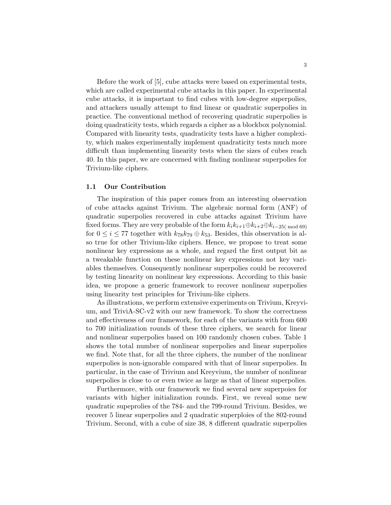Before the work of [5], cube attacks were based on experimental tests, which are called experimental cube attacks in this paper. In experimental cube attacks, it is important to find cubes with low-degree superpolies, and attackers usually attempt to find linear or quadratic superpolies in practice. The conventional method of recovering quadratic superpolies is doing quadraticity tests, which regards a cipher as a blockbox polynomial. Compared with linearity tests, quadraticity tests have a higher complexity, which makes experimentally implement quadraticity tests much more difficult than implementing linearity tests when the sizes of cubes reach 40. In this paper, we are concerned with finding nonlinear superpolies for Trivium-like ciphers.

#### **1.1 Our Contribution**

The inspiration of this paper comes from an interesting observation of cube attacks against Trivium. The algebraic normal form (ANF) of quadratic superpolies recovered in cube attacks against Trivium have fixed forms. They are very probable of the form  $k_i k_{i+1} \oplus k_{i+2} \oplus k_{i-25 \pmod{69}}$ for  $0 \leq i \leq 77$  together with  $k_{78}k_{79} \oplus k_{53}$ . Besides, this observation is also true for other Trivium-like ciphers. Hence, we propose to treat some nonlinear key expressions as a whole, and regard the first output bit as a tweakable function on these nonlinear key expressions not key variables themselves. Consequently nonlinear superpolies could be recovered by testing linearity on nonlinear key expressions. According to this basic idea, we propose a generic framework to recover nonlinear superpolies using linearity test principles for Trivium-like ciphers.

As illustrations, we perform extensive experiments on Trivium, Kreyvium, and TriviA-SC-v2 with our new framework. To show the correctness and effectiveness of our framework, for each of the variants with from 600 to 700 initialization rounds of these three ciphers, we search for linear and nonlinear superpolies based on 100 randomly chosen cubes. Table 1 shows the total number of nonlinear superpolies and linear superpolies we find. Note that, for all the three ciphers, the number of the nonlinear superpolies is non-ignorable compared with that of linear superpolies. In particular, in the case of Trivium and Kreyvium, the number of nonlinear superpolies is close to or even twice as large as that of linear superpolies.

Furthermore, with our framework we find several new superpoies for variants with higher initialization rounds. First, we reveal some new quadratic supeprolies of the 784- and the 799-round Trivium. Besides, we recover 5 linear superpolies and 2 quadratic superploies of the 802-round Trivium. Second, with a cube of size 38, 8 different quadratic superpolies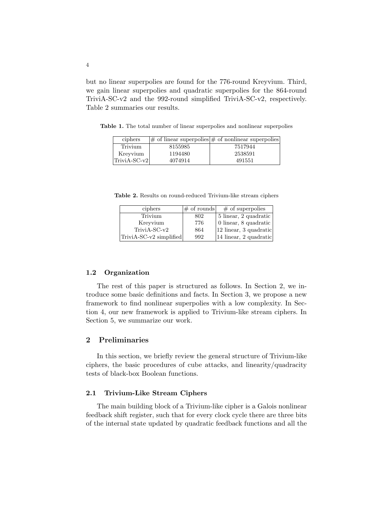but no linear superpolies are found for the 776-round Kreyvium. Third, we gain linear superpolies and quadratic superpolies for the 864-round TriviA-SC-v2 and the 992-round simplified TriviA-SC-v2, respectively. Table 2 summaries our results.

| ciphers      |         | $ \#$ of linear superpolies $ \#$ of nonlinear superpolies |
|--------------|---------|------------------------------------------------------------|
| Trivium      | 8155985 | 7517944                                                    |
| Kreyvium     | 1194480 | 2538591                                                    |
| TriviA-SC-v2 | 4074914 | 491551                                                     |

**Table 1.** The total number of linear superpolies and nonlinear superpolies

**Table 2.** Results on round-reduced Trivium-like stream ciphers

| ciphers                 | $\#$ of rounds | $\#$ of superpolies                        |
|-------------------------|----------------|--------------------------------------------|
| Trivium                 | 802            | 5 linear, 2 quadratic                      |
| Kreyvium                | 776            | $\,$ 0 linear, 8 quadratic $^ $            |
| TriviA-SC-v2            | 864            | $ 12 \text{ linear}, 3 \text{ quadratic} $ |
| TriviA-SC-v2 simplified | 992            | $ 14 \text{ linear}, 2 \text{ quadratic} $ |

#### **1.2 Organization**

The rest of this paper is structured as follows. In Section 2, we introduce some basic definitions and facts. In Section 3, we propose a new framework to find nonlinear superpolies with a low complexity. In Section 4, our new framework is applied to Trivium-like stream ciphers. In Section 5, we summarize our work.

## **2 Preliminaries**

In this section, we briefly review the general structure of Trivium-like ciphers, the basic procedures of cube attacks, and linearity/quadracity tests of black-box Boolean functions.

## **2.1 Trivium-Like Stream Ciphers**

The main building block of a Trivium-like cipher is a Galois nonlinear feedback shift register, such that for every clock cycle there are three bits of the internal state updated by quadratic feedback functions and all the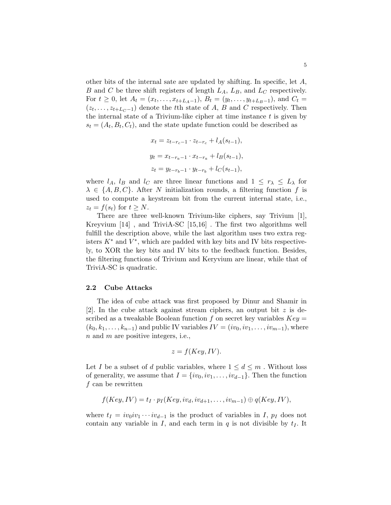other bits of the internal sate are updated by shifting. In specific, let *A*, *B* and *C* be three shift registers of length *LA*, *LB*, and *L<sup>C</sup>* respectively. For  $t \geq 0$ , let  $A_t = (x_t, \ldots, x_{t+L_A-1}), B_t = (y_t, \ldots, y_{t+L_B-1}),$  and  $C_t =$  $(z_t, \ldots, z_{t+L_C-1})$  denote the *t*<sup>th</sup> state of *A*, *B* and *C* respectively. Then the internal state of a Trivium-like cipher at time instance *t* is given by  $s_t = (A_t, B_t, C_t)$ , and the state update function could be described as

$$
x_t = z_{t-r_c-1} \cdot z_{t-r_c} + l_A(s_{t-1}),
$$
  
\n
$$
y_t = x_{t-r_a-1} \cdot x_{t-r_a} + l_B(s_{t-1}),
$$
  
\n
$$
z_t = y_{t-r_b-1} \cdot y_{t-r_b} + l_C(s_{t-1}),
$$

where  $l_A$ ,  $l_B$  and  $l_C$  are three linear functions and  $1 \leq r_\lambda \leq L_\lambda$  for  $\lambda \in \{A, B, C\}$ . After *N* initialization rounds, a filtering function *f* is used to compute a keystream bit from the current internal state, i.e.,  $z_t = f(s_t)$  for  $t \geq N$ .

There are three well-known Trivium-like ciphers, say Trivium [1], Kreyvium [14] , and TriviA-SC [15,16] . The first two algorithms well fulfill the description above, while the last algorithm uses two extra registers  $K^*$  and  $V^*$ , which are padded with key bits and IV bits respectively, to XOR the key bits and IV bits to the feedback function. Besides, the filtering functions of Trivium and Keryvium are linear, while that of TriviA-SC is quadratic.

#### **2.2 Cube Attacks**

The idea of cube attack was first proposed by Dinur and Shamir in [2]. In the cube attack against stream ciphers, an output bit *z* is described as a tweakable Boolean function  $f$  on secret key variables  $Key =$  $(k_0, k_1, \ldots, k_{n-1})$  and public IV variables  $IV = (iv_0, iv_1, \ldots, iv_{m-1})$ , where *n* and *m* are positive integers, i.e.,

$$
z = f(Key, IV).
$$

Let *I* be a subset of *d* public variables, where  $1 \leq d \leq m$ . Without loss of generality, we assume that  $I = \{iv_0, iv_1, \ldots, iv_{d-1}\}$ . Then the function *f* can be rewritten

$$
f(Key, IV) = t_I \cdot p_I(Key, iv_d, iv_{d+1}, \ldots, iv_{m-1}) \oplus q(Key, IV),
$$

where  $t_I = iv_0iv_1 \cdots iv_{d-1}$  is the product of variables in *I*,  $p_I$  does not contain any variable in  $I$ , and each term in  $q$  is not divisible by  $t_I$ . It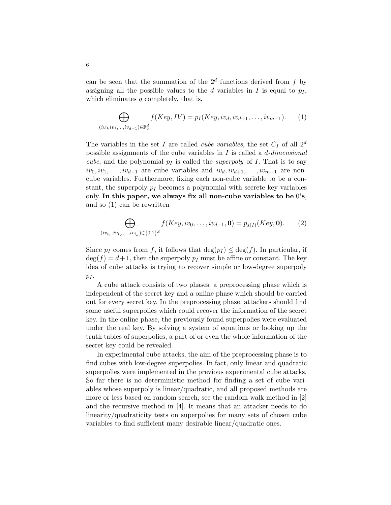can be seen that the summation of the  $2^d$  functions derived from  $f$  by assigning all the possible values to the *d* variables in *I* is equal to  $p_I$ , which eliminates *q* completely, that is,

$$
\bigoplus_{(iv_0, iv_1,...,iv_{d-1}) \in \mathbb{F}_2^d} f(Key, IV) = p_I(Key, iv_d, iv_{d+1},..., iv_{m-1}).
$$
 (1)

The variables in the set *I* are called *cube variables*, the set  $C_I$  of all  $2^d$ possible assignments of the cube variables in *I* is called a *d-dimensional cube*, and the polynomial  $p_I$  is called the *superpoly* of *I*. That is to say  $iv_0, iv_1, \ldots, iv_{d-1}$  are cube variables and  $iv_d, iv_{d+1}, \ldots, iv_{m-1}$  are noncube variables. Furthermore, fixing each non-cube variable to be a constant, the superpoly *p<sup>I</sup>* becomes a polynomial with secrete key variables only. **In this paper, we always fix all non-cube variables to be** 0**'s**, and so (1) can be rewritten

$$
\bigoplus_{(iv_{i_1}, iv_{i_2},..., iv_{i_d}) \in \{0,1\}^d} f(Key, iv_0,..., iv_{d-1}, \mathbf{0}) = p_{s(I)}(Key, \mathbf{0}).
$$
 (2)

Since  $p_I$  comes from f, it follows that  $\deg(p_I) \leq \deg(f)$ . In particular, if  $\deg(f) = d+1$ , then the superpoly  $p_I$  must be affine or constant. The key idea of cube attacks is trying to recover simple or low-degree superpoly  $p_I$ .

A cube attack consists of two phases: a preprocessing phase which is independent of the secret key and a online phase which should be carried out for every secret key. In the preprocessing phase, attackers should find some useful superpolies which could recover the information of the secret key. In the online phase, the previously found superpolies were evaluated under the real key. By solving a system of equations or looking up the truth tables of superpolies, a part of or even the whole information of the secret key could be revealed.

In experimental cube attacks, the aim of the preprocessing phase is to find cubes with low-degree superpolies. In fact, only linear and quadratic superpolies were implemented in the previous experimental cube attacks. So far there is no deterministic method for finding a set of cube variables whose superpoly is linear/quadratic, and all proposed methods are more or less based on random search, see the random walk method in [2] and the recursive method in [4]. It means that an attacker needs to do linearity/quadraticity tests on superpolies for many sets of chosen cube variables to find sufficient many desirable linear/quadratic ones.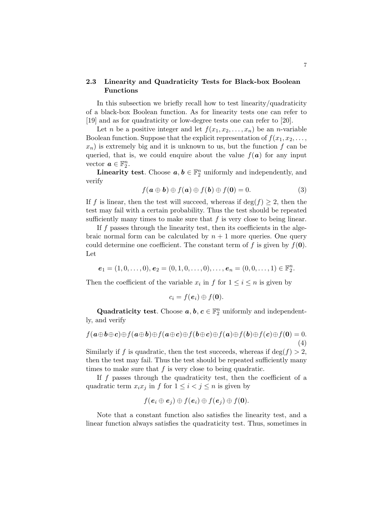## **2.3 Linearity and Quadraticity Tests for Black-box Boolean Functions**

In this subsection we briefly recall how to test linearity/quadraticity of a black-box Boolean function. As for linearity tests one can refer to [19] and as for quadraticity or low-degree tests one can refer to [20].

Let *n* be a positive integer and let  $f(x_1, x_2, \ldots, x_n)$  be an *n*-variable Boolean function. Suppose that the explicit representation of  $f(x_1, x_2, \ldots,$  $x_n$ ) is extremely big and it is unknown to us, but the function  $f$  can be queried, that is, we could enquire about the value  $f(\boldsymbol{a})$  for any input vector  $a \in \mathbb{F}_2^n$ .

**Linearity test**. Choose  $a, b \in \mathbb{F}_2^n$  uniformly and independently, and verify

$$
f(\mathbf{a} \oplus \mathbf{b}) \oplus f(\mathbf{a}) \oplus f(\mathbf{b}) \oplus f(\mathbf{0}) = 0.
$$
 (3)

If *f* is linear, then the test will succeed, whereas if  $deg(f) \geq 2$ , then the test may fail with a certain probability. Thus the test should be repeated sufficiently many times to make sure that  $f$  is very close to being linear.

If *f* passes through the linearity test, then its coefficients in the algebraic normal form can be calculated by  $n + 1$  more queries. One query could determine one coefficient. The constant term of  $f$  is given by  $f(\mathbf{0})$ . Let

 $e_1 = (1, 0, \ldots, 0), e_2 = (0, 1, 0, \ldots, 0), \ldots, e_n = (0, 0, \ldots, 1) \in \mathbb{F}_2^n$ .

Then the coefficient of the variable  $x_i$  in  $f$  for  $1 \leq i \leq n$  is given by

$$
c_i = f(\boldsymbol{e}_i) \oplus f(\boldsymbol{0}).
$$

Quadraticity test. Choose  $a, b, c \in \mathbb{F}_2^n$  uniformly and independently, and verify

$$
f(\mathbf{a}\oplus\mathbf{b}\oplus\mathbf{c})\oplus f(\mathbf{a}\oplus\mathbf{b})\oplus f(\mathbf{a}\oplus\mathbf{c})\oplus f(\mathbf{b}\oplus\mathbf{c})\oplus f(\mathbf{a})\oplus f(\mathbf{b})\oplus f(\mathbf{c})\oplus f(\mathbf{0})=0.
$$
\n(4)

Similarly if f is quadratic, then the test succeeds, whereas if deg( $f$ )  $>$  2, then the test may fail. Thus the test should be repeated sufficiently many times to make sure that *f* is very close to being quadratic.

If *f* passes through the quadraticity test, then the coefficient of a quadratic term  $x_i x_j$  in  $f$  for  $1 \leq i < j \leq n$  is given by

$$
f(\mathbf{e}_i \oplus \mathbf{e}_j) \oplus f(\mathbf{e}_i) \oplus f(\mathbf{e}_j) \oplus f(\mathbf{0}).
$$

Note that a constant function also satisfies the linearity test, and a linear function always satisfies the quadraticity test. Thus, sometimes in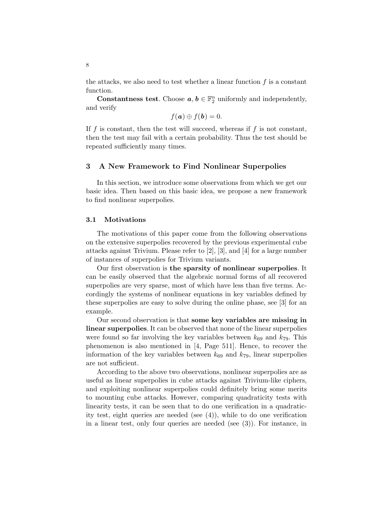the attacks, we also need to test whether a linear function *f* is a constant function.

**Constantness test**. Choose  $a, b \in \mathbb{F}_2^n$  uniformly and independently, and verify

$$
f(\mathbf{a})\oplus f(\mathbf{b})=0.
$$

If *f* is constant, then the test will succeed, whereas if *f* is not constant, then the test may fail with a certain probability. Thus the test should be repeated sufficiently many times.

## **3 A New Framework to Find Nonlinear Superpolies**

In this section, we introduce some observations from which we get our basic idea. Then based on this basic idea, we propose a new framework to find nonlinear superpolies.

#### **3.1 Motivations**

The motivations of this paper come from the following observations on the extensive superpolies recovered by the previous experimental cube attacks against Trivium. Please refer to [2], [3], and [4] for a large number of instances of superpolies for Trivium variants.

Our first observation is **the sparsity of nonlinear superpolies**. It can be easily observed that the algebraic normal forms of all recovered superpolies are very sparse, most of which have less than five terms. Accordingly the systems of nonlinear equations in key variables defined by these superpolies are easy to solve during the online phase, see [3] for an example.

Our second observation is that **some key variables are missing in linear superpolies**. It can be observed that none of the linear superpolies were found so far involving the key variables between  $k_{69}$  and  $k_{79}$ . This phenomenon is also mentioned in [4, Page 511]. Hence, to recover the information of the key variables between  $k_{69}$  and  $k_{79}$ , linear superpolies are not sufficient.

According to the above two observations, nonlinear superpolies are as useful as linear superpolies in cube attacks against Trivium-like ciphers, and exploiting nonlinear superpolies could definitely bring some merits to mounting cube attacks. However, comparing quadraticity tests with linearity tests, it can be seen that to do one verification in a quadraticity test, eight queries are needed (see (4)), while to do one verification in a linear test, only four queries are needed (see (3)). For instance, in

8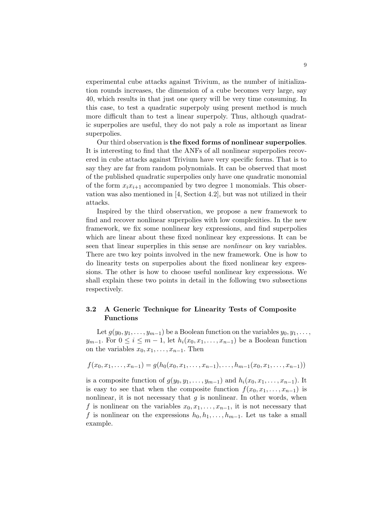experimental cube attacks against Trivium, as the number of initialization rounds increases, the dimension of a cube becomes very large, say 40, which results in that just one query will be very time consuming. In this case, to test a quadratic superpoly using present method is much more difficult than to test a linear superpoly. Thus, although quadratic superpolies are useful, they do not paly a role as important as linear superpolies.

Our third observation is **the fixed forms of nonlinear superpolies**. It is interesting to find that the ANFs of all nonlinear superpolies recovered in cube attacks against Trivium have very specific forms. That is to say they are far from random polynomials. It can be observed that most of the published quadratic superpolies only have one quadratic monomial of the form  $x_i x_{i+1}$  accompanied by two degree 1 monomials. This observation was also mentioned in [4, Section 4.2], but was not utilized in their attacks.

Inspired by the third observation, we propose a new framework to find and recover nonlinear superpolies with low complexities. In the new framework, we fix some nonlinear key expressions, and find superpolies which are linear about these fixed nonlinear key expressions. It can be seen that linear superplies in this sense are *nonlinear* on key variables. There are two key points involved in the new framework. One is how to do linearity tests on superpolies about the fixed nonlinear key expressions. The other is how to choose useful nonlinear key expressions. We shall explain these two points in detail in the following two subsections respectively.

## **3.2 A Generic Technique for Linearity Tests of Composite Functions**

Let  $g(y_0, y_1, \ldots, y_{m-1})$  be a Boolean function on the variables  $y_0, y_1, \ldots$ , *y*<sub>*m*−1</sub>. For  $0 \le i \le m-1$ , let  $h_i(x_0, x_1, \ldots, x_{n-1})$  be a Boolean function on the variables  $x_0, x_1, \ldots, x_{n-1}$ . Then

$$
f(x_0, x_1, \ldots, x_{n-1}) = g(h_0(x_0, x_1, \ldots, x_{n-1}), \ldots, h_{m-1}(x_0, x_1, \ldots, x_{n-1}))
$$

is a composite function of  $g(y_0, y_1, \ldots, y_{m-1})$  and  $h_i(x_0, x_1, \ldots, x_{n-1})$ . It is easy to see that when the composite function  $f(x_0, x_1, \ldots, x_{n-1})$  is nonlinear, it is not necessary that  $q$  is nonlinear. In other words, when *f* is nonlinear on the variables  $x_0, x_1, \ldots, x_{n-1}$ , it is not necessary that *f* is nonlinear on the expressions  $h_0, h_1, \ldots, h_{m-1}$ . Let us take a small example.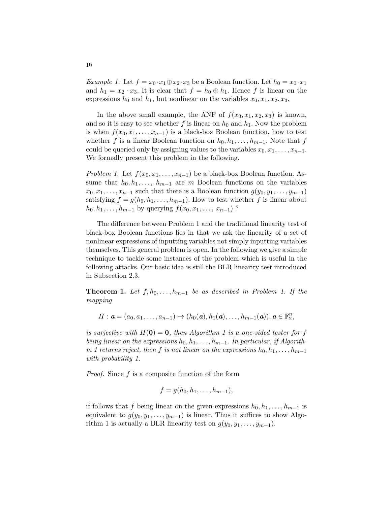*Example 1.* Let  $f = x_0 \cdot x_1 \oplus x_2 \cdot x_3$  be a Boolean function. Let  $h_0 = x_0 \cdot x_1$ and  $h_1 = x_2 \cdot x_3$ . It is clear that  $f = h_0 \oplus h_1$ . Hence f is linear on the expressions  $h_0$  and  $h_1$ , but nonlinear on the variables  $x_0, x_1, x_2, x_3$ .

In the above small example, the ANF of  $f(x_0, x_1, x_2, x_3)$  is known, and so it is easy to see whether  $f$  is linear on  $h_0$  and  $h_1$ . Now the problem is when  $f(x_0, x_1, \ldots, x_{n-1})$  is a black-box Boolean function, how to test whether *f* is a linear Boolean function on  $h_0, h_1, \ldots, h_{m-1}$ . Note that *f* could be queried only by assigning values to the variables  $x_0, x_1, \ldots, x_{n-1}$ . We formally present this problem in the following.

*Problem 1.* Let  $f(x_0, x_1, \ldots, x_{n-1})$  be a black-box Boolean function. Assume that  $h_0, h_1, \ldots, h_{m-1}$  are *m* Boolean functions on the variables  $x_0, x_1, \ldots, x_{n-1}$  such that there is a Boolean function  $g(y_0, y_1, \ldots, y_{m-1})$ satisfying  $f = g(h_0, h_1, \ldots, h_{m-1})$ . How to test whether f is linear about *h*<sub>0</sub>*, h*<sub>1</sub>*,..., h*<sub>*m*−1</sub> by querying  $f(x_0, x_1, \ldots, x_{n-1})$  ?

The difference between Problem 1 and the traditional linearity test of black-box Boolean functions lies in that we ask the linearity of a set of nonlinear expressions of inputting variables not simply inputting variables themselves. This general problem is open. In the following we give a simple technique to tackle some instances of the problem which is useful in the following attacks. Our basic idea is still the BLR linearity test introduced in Subsection 2.3.

**Theorem 1.** *Let*  $f, h_0, \ldots, h_{m-1}$  *be as described in Problem 1. If the mapping*

$$
H: \boldsymbol{a} = (a_0, a_1, \ldots, a_{n-1}) \mapsto (h_0(\boldsymbol{a}), h_1(\boldsymbol{a}), \ldots, h_{m-1}(\boldsymbol{a})), \boldsymbol{a} \in \mathbb{F}_2^n,
$$

*is surjective with*  $H(0) = 0$ *, then Algorithm 1 is a one-sided tester for f being linear on the expressions*  $h_0, h_1, \ldots, h_{m-1}$ . In particular, if Algorith*m 1 returns reject, then f is not linear on the expressions*  $h_0, h_1, \ldots, h_{m-1}$ *with probability 1.*

*Proof.* Since *f* is a composite function of the form

$$
f=g(h_0,h_1,\ldots,h_{m-1}),
$$

if follows that *f* being linear on the given expressions  $h_0, h_1, \ldots, h_{m-1}$  is equivalent to  $g(y_0, y_1, \ldots, y_{m-1})$  is linear. Thus it suffices to show Algorithm 1 is actually a BLR linearity test on  $g(y_0, y_1, \ldots, y_{m-1})$ .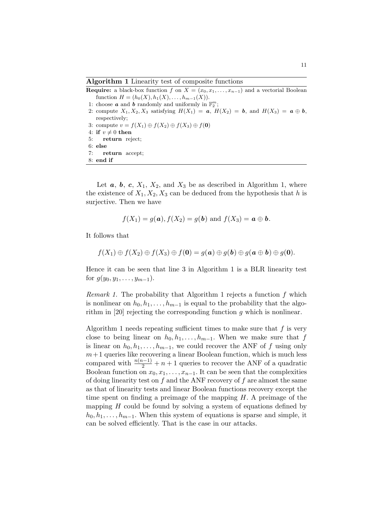**Algorithm 1** Linearity test of composite functions

**Require:** a black-box function *f* on  $X = (x_0, x_1, \ldots, x_{n-1})$  and a vectorial Boolean  $function H = (h_0(X), h_1(X), \ldots, h_{m-1}(X)).$ 

- 1: choose **a** and **b** randomly and uniformly in  $\mathbb{F}_2^m$ ;
- 2: compute  $X_1, X_2, X_3$  satisfying  $H(X_1) = a, H(X_2) = b$ , and  $H(X_3) = a \oplus b$ , respectively;
- 3: compute  $v = f(X_1) \oplus f(X_2) \oplus f(X_3) \oplus f(\mathbf{0})$
- 4: **if**  $v \neq 0$  **then**<br>5: **return** rej
- 5: **return** reject;
- 6: **else** 7: **return** accept;
- 8: **end if**

Let  $a, b, c, X_1, X_2,$  and  $X_3$  be as described in Algorithm 1, where the existence of  $X_1, X_2, X_3$  can be deduced from the hypothesis that *h* is surjective. Then we have

$$
f(X_1) = g(a), f(X_2) = g(b)
$$
 and  $f(X_3) = a \oplus b$ .

It follows that

$$
f(X_1) \oplus f(X_2) \oplus f(X_3) \oplus f(\mathbf{0}) = g(\mathbf{a}) \oplus g(\mathbf{b}) \oplus g(\mathbf{a} \oplus \mathbf{b}) \oplus g(\mathbf{0}).
$$

Hence it can be seen that line 3 in Algorithm 1 is a BLR linearity test for  $g(y_0, y_1, \ldots, y_{m-1})$ .

*Remark 1.* The probability that Algorithm 1 rejects a function *f* which is nonlinear on  $h_0, h_1, \ldots, h_{m-1}$  is equal to the probability that the algorithm in [20] rejecting the corresponding function *g* which is nonlinear.

Algorithm 1 needs repeating sufficient times to make sure that *f* is very close to being linear on  $h_0, h_1, \ldots, h_{m-1}$ . When we make sure that *f* is linear on  $h_0, h_1, \ldots, h_{m-1}$ , we could recover the ANF of *f* using only  $m+1$  queries like recovering a linear Boolean function, which is much less compared with  $\frac{n(n-1)}{2} + n + 1$  queries to recover the ANF of a quadratic Boolean function on  $x_0, x_1, \ldots, x_{n-1}$ . It can be seen that the complexities of doing linearity test on *f* and the ANF recovery of *f* are almost the same as that of linearity tests and linear Boolean functions recovery except the time spent on finding a preimage of the mapping *H*. A preimage of the mapping *H* could be found by solving a system of equations defined by  $h_0, h_1, \ldots, h_{m-1}$ . When this system of equations is sparse and simple, it can be solved efficiently. That is the case in our attacks.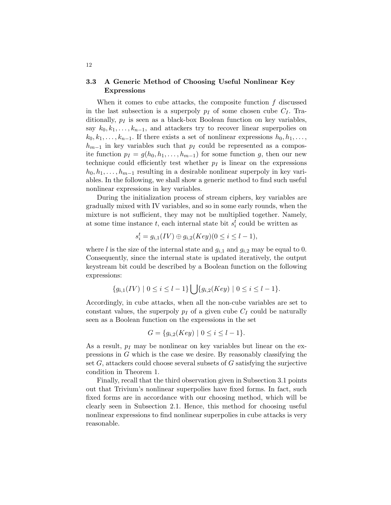## **3.3 A Generic Method of Choosing Useful Nonlinear Key Expressions**

When it comes to cube attacks, the composite function *f* discussed in the last subsection is a superpoly  $p_I$  of some chosen cube  $C_I$ . Traditionally, *p<sup>I</sup>* is seen as a black-box Boolean function on key variables, say  $k_0, k_1, \ldots, k_{n-1}$ , and attackers try to recover linear superpolies on  $k_0, k_1, \ldots, k_{n-1}$ . If there exists a set of nonlinear expressions  $h_0, h_1, \ldots$ ,  $h_{m-1}$  in key variables such that  $p_I$  could be represented as a composite function  $p_I = g(h_0, h_1, \ldots, h_{m-1})$  for some function *g*, then our new technique could efficiently test whether  $p_I$  is linear on the expressions  $h_0, h_1, \ldots, h_{m-1}$  resulting in a desirable nonlinear superpoly in key variables. In the following, we shall show a generic method to find such useful nonlinear expressions in key variables.

During the initialization process of stream ciphers, key variables are gradually mixed with IV variables, and so in some early rounds, when the mixture is not sufficient, they may not be multiplied together. Namely, at some time instance  $t$ , each internal state bit  $s_i^t$  could be written as

$$
s_i^t = g_{i,1}(IV) \oplus g_{i,2}(Key)(0 \le i \le l-1),
$$

where *l* is the size of the internal state and  $g_{i,1}$  and  $g_{i,2}$  may be equal to 0. Consequently, since the internal state is updated iteratively, the output keystream bit could be described by a Boolean function on the following expressions:

$$
\{g_{i,1}(IV) \mid 0 \le i \le l-1\} \bigcup \{g_{i,2}(Key) \mid 0 \le i \le l-1\}.
$$

Accordingly, in cube attacks, when all the non-cube variables are set to constant values, the superpoly  $p_I$  of a given cube  $C_I$  could be naturally seen as a Boolean function on the expressions in the set

$$
G = \{g_{i,2}(Key) \mid 0 \le i \le l-1\}.
$$

As a result,  $p_I$  may be nonlinear on key variables but linear on the expressions in *G* which is the case we desire. By reasonably classifying the set *G*, attackers could choose several subsets of *G* satisfying the surjective condition in Theorem 1.

Finally, recall that the third observation given in Subsection 3.1 points out that Trivium's nonlinear superpolies have fixed forms. In fact, such fixed forms are in accordance with our choosing method, which will be clearly seen in Subsection 2.1. Hence, this method for choosing useful nonlinear expressions to find nonlinear superpolies in cube attacks is very reasonable.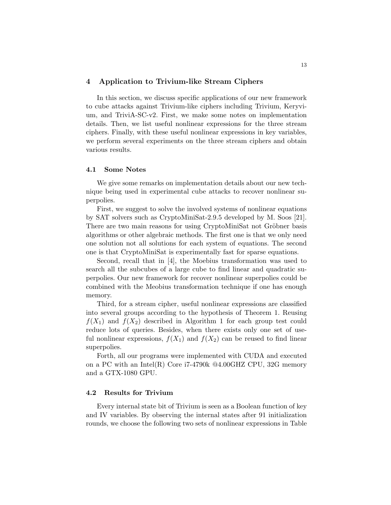## **4 Application to Trivium-like Stream Ciphers**

In this section, we discuss specific applications of our new framework to cube attacks against Trivium-like ciphers including Trivium, Keryvium, and TriviA-SC-v2. First, we make some notes on implementation details. Then, we list useful nonlinear expressions for the three stream ciphers. Finally, with these useful nonlinear expressions in key variables, we perform several experiments on the three stream ciphers and obtain various results.

#### **4.1 Some Notes**

We give some remarks on implementation details about our new technique being used in experimental cube attacks to recover nonlinear superpolies.

First, we suggest to solve the involved systems of nonlinear equations by SAT solvers such as CryptoMiniSat-2.9.5 developed by M. Soos [21]. There are two main reasons for using CryptoMiniSat not Gröbner basis algorithms or other algebraic methods. The first one is that we only need one solution not all solutions for each system of equations. The second one is that CryptoMiniSat is experimentally fast for sparse equations.

Second, recall that in [4], the Moebius transformation was used to search all the subcubes of a large cube to find linear and quadratic superpolies. Our new framework for recover nonlinear superpolies could be combined with the Meobius transformation technique if one has enough memory.

Third, for a stream cipher, useful nonlinear expressions are classified into several groups according to the hypothesis of Theorem 1. Reusing  $f(X_1)$  and  $f(X_2)$  described in Algorithm 1 for each group test could reduce lots of queries. Besides, when there exists only one set of useful nonlinear expressions,  $f(X_1)$  and  $f(X_2)$  can be reused to find linear superpolies.

Forth, all our programs were implemented with CUDA and executed on a PC with an Intel(R) Core i7-4790k @4.00GHZ CPU, 32G memory and a GTX-1080 GPU.

#### **4.2 Results for Trivium**

Every internal state bit of Trivium is seen as a Boolean function of key and IV variables. By observing the internal states after 91 initialization rounds, we choose the following two sets of nonlinear expressions in Table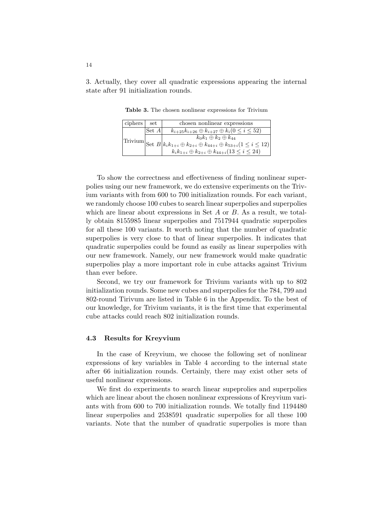3. Actually, they cover all quadratic expressions appearing the internal state after 91 initialization rounds.

| ciphers | set     | chosen nonlinear expressions                                                                                                                                          |
|---------|---------|-----------------------------------------------------------------------------------------------------------------------------------------------------------------------|
|         | Set $A$ | $k_{i+25}k_{i+26} \oplus k_{i+27} \oplus k_i (0 \leq i \leq 52)$                                                                                                      |
|         |         | $k_0k_1\oplus k_2\oplus k_{44}$                                                                                                                                       |
|         |         |                                                                                                                                                                       |
|         |         | Trivium Set $B$ $k_{i}k_{1+i} \oplus k_{2+i} \oplus k_{44+i} \oplus k_{53+i} (1 \leq i \leq 12)$<br>$k_{i}k_{1+i} \oplus k_{2+i} \oplus k_{44+i} (13 \leq i \leq 24)$ |

**Table 3.** The chosen nonlinear expressions for Trivium

To show the correctness and effectiveness of finding nonlinear superpolies using our new framework, we do extensive experiments on the Trivium variants with from 600 to 700 initialization rounds. For each variant, we randomly choose 100 cubes to search linear superpolies and superpolies which are linear about expressions in Set *A* or *B*. As a result, we totally obtain 8155985 linear superpolies and 7517944 quadratic superpolies for all these 100 variants. It worth noting that the number of quadratic superpolies is very close to that of linear superpolies. It indicates that quadratic superpolies could be found as easily as linear superpolies with our new framework. Namely, our new framework would make quadratic superpolies play a more important role in cube attacks against Trivium than ever before.

Second, we try our framework for Trivium variants with up to 802 initialization rounds. Some new cubes and superpolies for the 784, 799 and 802-round Tirivum are listed in Table 6 in the Appendix. To the best of our knowledge, for Trivium variants, it is the first time that experimental cube attacks could reach 802 initialization rounds.

#### **4.3 Results for Kreyvium**

In the case of Kreyvium, we choose the following set of nonlinear expressions of key variables in Table 4 according to the internal state after 66 initialization rounds. Certainly, there may exist other sets of useful nonlinear expressions.

We first do experiments to search linear supeprolies and superpolies which are linear about the chosen nonlinear expressions of Kreyvium variants with from 600 to 700 initialization rounds. We totally find 1194480 linear superpolies and 2538591 quadratic superpolies for all these 100 variants. Note that the number of quadratic superpolies is more than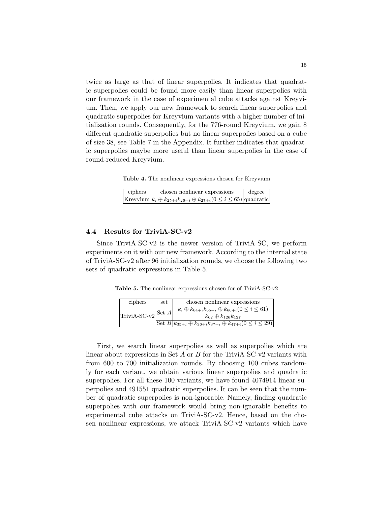twice as large as that of linear superpolies. It indicates that quadratic superpolies could be found more easily than linear superpolies with our framework in the case of experimental cube attacks against Kreyvium. Then, we apply our new framework to search linear superpolies and quadratic superpolies for Kreyvium variants with a higher number of initialization rounds. Consequently, for the 776-round Kreyvium, we gain 8 different quadratic superpolies but no linear superpolies based on a cube of size 38, see Table 7 in the Appendix. It further indicates that quadratic superpolies maybe more useful than linear superpolies in the case of round-reduced Kreyvium.

**Table 4.** The nonlinear expressions chosen for Kreyvium

| ciphers | chosen nonlinear expressions                                                                     | degree |
|---------|--------------------------------------------------------------------------------------------------|--------|
|         | Kreyvium $\vert k_i \oplus k_{25+i} k_{26+i} \oplus k_{27+i} (0 \leq i \leq 65) \vert$ quadratic |        |

## **4.4 Results for TriviA-SC-v2**

Since TriviA-SC-v2 is the newer version of TriviA-SC, we perform experiments on it with our new framework. According to the internal state of TriviA-SC-v2 after 96 initialization rounds, we choose the following two sets of quadratic expressions in Table 5.

**Table 5.** The nonlinear expressions chosen for of TriviA-SC-v2

| ciphers                         | set | chosen nonlinear expressions                                                                       |
|---------------------------------|-----|----------------------------------------------------------------------------------------------------|
| 'TriviA-SC-v2 <sup> Set A</sup> |     | $k_i \oplus k_{64+i} k_{65+i} \oplus k_{66+i} (0 \leq i \leq 61)$<br>$k_{62}\oplus k_{126}k_{127}$ |
|                                 |     | Set $B k_{35+i} \oplus k_{36+i}k_{37+i} \oplus k_{47+i}(0 \leq i \leq 29) $                        |

First, we search linear superpolies as well as superpolies which are linear about expressions in Set *A* or *B* for the TriviA-SC-v2 variants with from 600 to 700 initialization rounds. By choosing 100 cubes randomly for each variant, we obtain various linear superpolies and quadratic superpolies. For all these 100 variants, we have found 4074914 linear superpolies and 491551 quadratic superpolies. It can be seen that the number of quadratic superpolies is non-ignorable. Namely, finding quadratic superpolies with our framework would bring non-ignorable benefits to experimental cube attacks on TriviA-SC-v2. Hence, based on the chosen nonlinear expressions, we attack TriviA-SC-v2 variants which have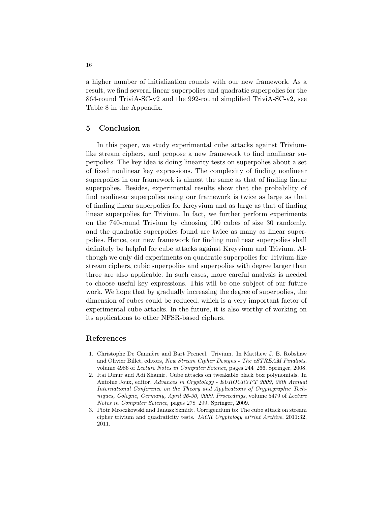a higher number of initialization rounds with our new framework. As a result, we find several linear superpolies and quadratic superpolies for the 864-round TriviA-SC-v2 and the 992-round simplified TriviA-SC-v2, see Table 8 in the Appendix.

#### **5 Conclusion**

In this paper, we study experimental cube attacks against Triviumlike stream ciphers, and propose a new framework to find nonlinear superpolies. The key idea is doing linearity tests on superpolies about a set of fixed nonlinear key expressions. The complexity of finding nonlinear superpolies in our framework is almost the same as that of finding linear superpolies. Besides, experimental results show that the probability of find nonlinear superpolies using our framework is twice as large as that of finding linear superpolies for Kreyvium and as large as that of finding linear superpolies for Trivium. In fact, we further perform experiments on the 740-round Trivium by choosing 100 cubes of size 30 randomly, and the quadratic superpolies found are twice as many as linear superpolies. Hence, our new framework for finding nonlinear superpolies shall definitely be helpful for cube attacks against Kreyvium and Trivium. Although we only did experiments on quadratic superpolies for Trivium-like stream ciphers, cubic superpolies and superpolies with degree larger than three are also applicable. In such cases, more careful analysis is needed to choose useful key expressions. This will be one subject of our future work. We hope that by gradually increasing the degree of superpolies, the dimension of cubes could be reduced, which is a very important factor of experimental cube attacks. In the future, it is also worthy of working on its applications to other NFSR-based ciphers.

#### **References**

- 1. Christophe De Cannière and Bart Preneel. Trivium. In Matthew J. B. Robshaw and Olivier Billet, editors, *New Stream Cipher Designs - The eSTREAM Finalists*, volume 4986 of *Lecture Notes in Computer Science*, pages 244–266. Springer, 2008.
- 2. Itai Dinur and Adi Shamir. Cube attacks on tweakable black box polynomials. In Antoine Joux, editor, *Advances in Cryptology - EUROCRYPT 2009, 28th Annual International Conference on the Theory and Applications of Cryptographic Techniques, Cologne, Germany, April 26-30, 2009. Proceedings*, volume 5479 of *Lecture Notes in Computer Science*, pages 278–299. Springer, 2009.
- 3. Piotr Mroczkowski and Janusz Szmidt. Corrigendum to: The cube attack on stream cipher trivium and quadraticity tests. *IACR Cryptology ePrint Archive*, 2011:32, 2011.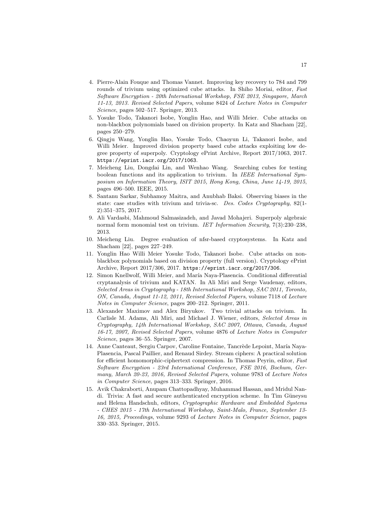- 4. Pierre-Alain Fouque and Thomas Vannet. Improving key recovery to 784 and 799 rounds of trivium using optimized cube attacks. In Shiho Moriai, editor, *Fast Software Encryption - 20th International Workshop, FSE 2013, Singapore, March 11-13, 2013. Revised Selected Papers*, volume 8424 of *Lecture Notes in Computer Science*, pages 502–517. Springer, 2013.
- 5. Yosuke Todo, Takanori Isobe, Yonglin Hao, and Willi Meier. Cube attacks on non-blackbox polynomials based on division property. In Katz and Shacham [22], pages 250–279.
- 6. Qingju Wang, Yonglin Hao, Yosuke Todo, Chaoyun Li, Takanori Isobe, and Willi Meier. Improved division property based cube attacks exploiting low degree property of superpoly. Cryptology ePrint Archive, Report 2017/1063, 2017. https://eprint.iacr.org/2017/1063.
- 7. Meicheng Liu, Dongdai Lin, and Wenhao Wang. Searching cubes for testing boolean functions and its application to trivium. In *IEEE International Symposium on Information Theory, ISIT 2015, Hong Kong, China, June 14-19, 2015*, pages 496–500. IEEE, 2015.
- 8. Santanu Sarkar, Subhamoy Maitra, and Anubhab Baksi. Observing biases in the state: case studies with trivium and trivia-sc. *Des. Codes Cryptography*, 82(1- 2):351–375, 2017.
- 9. Ali Vardasbi, Mahmoud Salmasizadeh, and Javad Mohajeri. Superpoly algebraic normal form monomial test on trivium. *IET Information Security*, 7(3):230–238, 2013.
- 10. Meicheng Liu. Degree evaluation of nfsr-based cryptosystems. In Katz and Shacham [22], pages 227–249.
- 11. Yonglin Hao Willi Meier Yosuke Todo, Takanori Isobe. Cube attacks on nonblackbox polynomials based on division property (full version). Cryptology ePrint Archive, Report 2017/306, 2017. https://eprint.iacr.org/2017/306.
- 12. Simon Knellwolf, Willi Meier, and María Naya-Plasencia. Conditional differential cryptanalysis of trivium and KATAN. In Ali Miri and Serge Vaudenay, editors, *Selected Areas in Cryptography - 18th International Workshop, SAC 2011, Toronto, ON, Canada, August 11-12, 2011, Revised Selected Papers*, volume 7118 of *Lecture Notes in Computer Science*, pages 200–212. Springer, 2011.
- 13. Alexander Maximov and Alex Biryukov. Two trivial attacks on trivium. In Carlisle M. Adams, Ali Miri, and Michael J. Wiener, editors, *Selected Areas in Cryptography, 14th International Workshop, SAC 2007, Ottawa, Canada, August 16-17, 2007, Revised Selected Papers*, volume 4876 of *Lecture Notes in Computer Science*, pages 36–55. Springer, 2007.
- 14. Anne Canteaut, Sergiu Carpov, Caroline Fontaine, Tancrède Lepoint, María Naya-Plasencia, Pascal Paillier, and Renaud Sirdey. Stream ciphers: A practical solution for efficient homomorphic-ciphertext compression. In Thomas Peyrin, editor, *Fast Software Encryption - 23rd International Conference, FSE 2016, Bochum, Germany, March 20-23, 2016, Revised Selected Papers*, volume 9783 of *Lecture Notes in Computer Science*, pages 313–333. Springer, 2016.
- 15. Avik Chakraborti, Anupam Chattopadhyay, Muhammad Hassan, and Mridul Nandi. Trivia: A fast and secure authenticated encryption scheme. In Tim Güneysu and Helena Handschuh, editors, *Cryptographic Hardware and Embedded Systems - CHES 2015 - 17th International Workshop, Saint-Malo, France, September 13- 16, 2015, Proceedings*, volume 9293 of *Lecture Notes in Computer Science*, pages 330–353. Springer, 2015.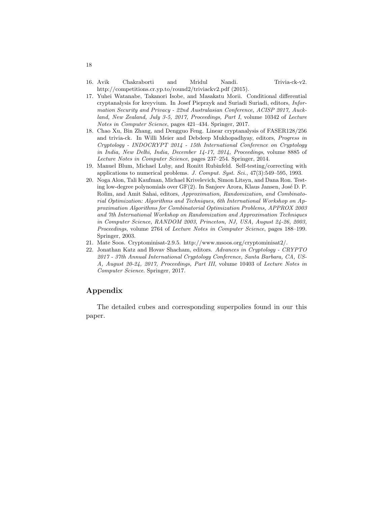- 16. Avik Chakraborti and Mridul Nandi. Trivia-ck-v2. http://competitions.cr.yp.to/round2/triviackv2.pdf (2015).
- 17. Yuhei Watanabe, Takanori Isobe, and Masakatu Morii. Conditional differential cryptanalysis for kreyvium. In Josef Pieprzyk and Suriadi Suriadi, editors, *Information Security and Privacy - 22nd Australasian Conference, ACISP 2017, Auckland, New Zealand, July 3-5, 2017, Proceedings, Part I*, volume 10342 of *Lecture Notes in Computer Science*, pages 421–434. Springer, 2017.
- 18. Chao Xu, Bin Zhang, and Dengguo Feng. Linear cryptanalysis of FASER128/256 and trivia-ck. In Willi Meier and Debdeep Mukhopadhyay, editors, *Progress in Cryptology - INDOCRYPT 2014 - 15th International Conference on Cryptology in India, New Delhi, India, December 14-17, 2014, Proceedings*, volume 8885 of *Lecture Notes in Computer Science*, pages 237–254. Springer, 2014.
- 19. Manuel Blum, Michael Luby, and Ronitt Rubinfeld. Self-testing/correcting with applications to numerical problems. *J. Comput. Syst. Sci.*, 47(3):549–595, 1993.
- 20. Noga Alon, Tali Kaufman, Michael Krivelevich, Simon Litsyn, and Dana Ron. Testing low-degree polynomials over  $GF(2)$ . In Sanjeev Arora, Klaus Jansen, José D. P. Rolim, and Amit Sahai, editors, *Approximation, Randomization, and Combinatorial Optimization: Algorithms and Techniques, 6th International Workshop on Approximation Algorithms for Combinatorial Optimization Problems, APPROX 2003 and 7th International Workshop on Randomization and Approximation Techniques in Computer Science, RANDOM 2003, Princeton, NJ, USA, August 24-26, 2003, Proceedings*, volume 2764 of *Lecture Notes in Computer Science*, pages 188–199. Springer, 2003.
- 21. Mate Soos. Cryptominisat-2.9.5. http://www.msoos.org/cryptominisat2/.
- 22. Jonathan Katz and Hovav Shacham, editors. *Advances in Cryptology CRYPTO 2017 - 37th Annual International Cryptology Conference, Santa Barbara, CA, US-A, August 20-24, 2017, Proceedings, Part III*, volume 10403 of *Lecture Notes in Computer Science*. Springer, 2017.

# **Appendix**

The detailed cubes and corresponding superpolies found in our this paper.

18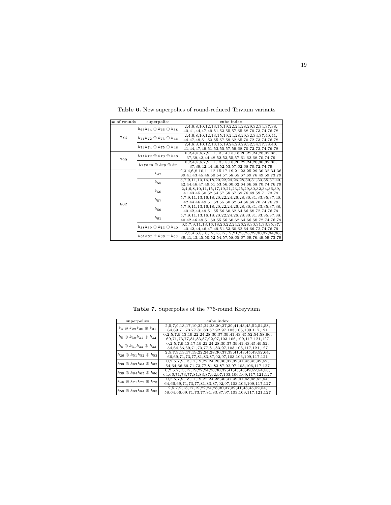| $#$ of rounds | superpolies                                | cube index                                                           |
|---------------|--------------------------------------------|----------------------------------------------------------------------|
|               |                                            | 2,4,6,8,10,12,13,15,19,22,24,28,29,32,34,37,38,                      |
|               | $k_{63}k_{64} \oplus k_{65} \oplus k_{38}$ | 40,41,44,47,49,51,53,55,57,65,68,70,73,74,76,78                      |
| 784           | $k_{71}k_{72} \oplus k_{73} \oplus k_{46}$ | 2,4,6,8,10,12,13,15,19,24,28,29,32,34,37,40,41,                      |
|               |                                            | 44, 47, 49, 51, 53, 55, 57, 59, 62, 65, 70, 72, 73, 74, 76, 78       |
|               | $k_{73}k_{74} \oplus k_{75} \oplus k_{48}$ | $2,4,6,8,10,12,13,15,19,24,28,29,32,34,37,38,40,$                    |
|               |                                            | 41, 44, 47, 49, 51, 53, 55, 57, 59, 68, 70, 72, 73, 74, 76, 78       |
|               | $k_{71}k_{72} \oplus k_{73} \oplus k_{46}$ | $0,2,4,5,6,7,9,11,13,14,15,18,20,22,24,26,32,35,$                    |
| 799           |                                            | 37, 39, 42, 44, 48, 52, 53, 55, 57, 61, 62, 68, 70, 74, 79           |
|               | $k_{27}x_{28} \oplus k_{29} \oplus k_{2}$  | $0,2,4,5,6,7,9,11,13,15,18,20,22,24,26,30,32,35,$                    |
|               |                                            | 37, 39, 42, 44, 46, 52, 53, 57, 62, 68, 70, 72, 74, 79               |
|               | $k_{47}$                                   | 2,3,4,6,8,10,11,12,15,17,19,21,23,25,29,30,32,34,36,                 |
|               |                                            | 39,41,43,45,48,50,54,57,58,65,67,69,76,49,59,73,79                   |
|               | $k_{55}$                                   | 5,7,9,11,13,16,18,20,22,24,26,28,30,31,33,35,37,40,                  |
|               |                                            | 42, 44, 46, 47, 49, 51, 53, 56, 60, 62, 64, 66, 68, 70, 74, 76, 79   |
|               | $k_{56}$                                   | 2,4,6,8,10,11,15,17,19,21,23,25,29,30,32,34,36,39,                   |
|               |                                            | 41, 43, 45, 50, 52, 54, 57, 58, 67, 69, 76, 49, 59, 71, 73, 79       |
|               | $k_{57}$                                   | 5,7,9,11,13,16,18,20,22,24,26,28,30,31,33,35,37,40,                  |
| 802           |                                            | 42, 44, 46, 49, 51, 53, 55, 60, 62, 64, 66, 68, 70, 74, 76, 79       |
|               | $k_{59}$                                   | 5,7,9,11,13,16,18,20,22,24,26,28,30,31,33,35,37,38,                  |
|               |                                            | 40,42,44,49,51,55,56,60,62,64,66,68,72,74,76,79                      |
|               | $k_{61}$                                   | $5,7,9,11,13,16,18,20,22,24,26,28,30,31,33,35,37,38,$                |
|               |                                            | 40, 42, 46, 49, 51, 53, 55, 56, 60, 62, 64, 66, 68, 72, 74, 76, 79   |
|               | $k_{38}k_{39} \oplus k_{13} \oplus k_{40}$ | $0.5, 7, 9, 11, 13, 16, 18, 20, 22, 24, 26, 28, 30, 31, 33, 35, 37,$ |
|               |                                            | 40, 42, 44, 46, 47, 49, 51, 53, 60, 62, 64, 66, 72, 74, 76, 79       |
|               | $k_{61}k_{62} + k_{36} + k_{63}$           | $1,2,3,4,6,8,10,12,15,17,19,21,23,25,29,30,32,34,36,$                |
|               |                                            | 39,41,43,45,50,52,54,57,58,65,67,69,76,49,59,73,79                   |

**Table 6.** New superpolies of round-reduced Trivium variants

**Table 7.** Superpolies of the 776-round Kreyvium

| superpolies                                 | cube index                                                                                                                      |
|---------------------------------------------|---------------------------------------------------------------------------------------------------------------------------------|
| $k_4 \oplus k_{29} k_{30} \oplus k_{31}$    | 2,5,7,9,13,17,19,22,24,28,30,37,39,41,43,45,52,54,58,<br>64, 69, 71, 73, 77, 81, 83, 87, 92, 97, 103, 106, 109, 117, 121        |
| $k_5 \oplus k_{30} k_{31} \oplus k_{32}$    | $0,2,5,7,9,13,19,22,24,28,30,37,39,41,43,45,52,54,58,66,$<br>69,71,73,77,81,83,87,92,97,103,106,109,117,121,127                 |
| $k_6 \oplus k_{31} k_{32} \oplus k_{33}$    | $0,2,5,7,9,13,17,19,22,24,28,30,37,39,41,43,45,49,52,$<br>54,64,66,69,71,73,77,81,83,97,103,106,117,121,127                     |
| $k_{26}\oplus k_{51}k_{52}\oplus k_{53}$    | $2,5,7,9,13,17,19,22,24,28,30,37,39,41,43,45,49,52,64,$<br>66,69,71,73,77,81,83,87,92,97,103,106,109,117,121                    |
| $k_{38} \oplus k_{63} k_{64} \oplus k_{65}$ | $0,2,5,7,9,13,17,19,22,24,28,30,37,39,41,43,45,49,52,$<br>54,64,66,69,71,73,77,81,83,87,92,97,103,106,117,127                   |
| $k_{39} \oplus k_{64} k_{65} \oplus k_{66}$ | $0,2,5,7,13,17,19,22,24,28,30,37,41,43,45,49,52,54,58,$<br>64, 66, 71, 73, 77, 81, 83, 87, 92, 97, 103, 106, 109, 117, 121, 127 |
| $k_{46} \oplus k_{71}k_{72} \oplus k_{73}$  | $0,2,5,7,9,13,17,19,22,24,28,30,37,39,41,43,45,52,54,$<br>64, 66, 69, 71, 73, 77, 81, 83, 87, 92, 97, 103, 106, 109, 117, 127   |
| $k_{58} \oplus k_{83} k_{84} \oplus k_{85}$ | $2,5,7,9,13,17,19,22,24,28,30,37,39,41,43,45,52,54,$<br>58,64,66,69,71,73,77,81,83,87,97,103,109,117,121,127                    |